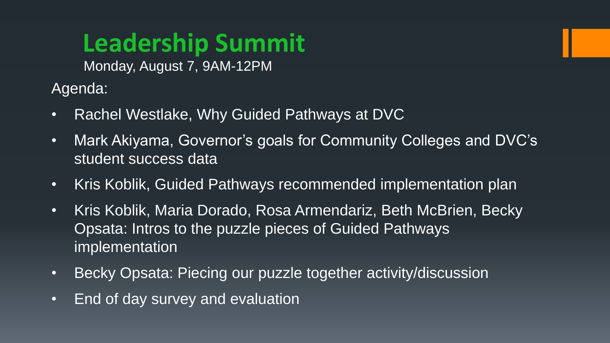# **Leadership Summit**

Monday, August 7, 9AM-12PM

Agenda:

- Rachel Westlake, Why Guided Pathways at DVC
- Mark Akiyama, Governor's goals for Community Colleges and DVC's student success data
- Kris Koblik, Guided Pathways recommended implementation plan
- Kris Koblik, Maria Dorado, Rosa Armendariz, Beth McBrien, Becky Opsata: Intros to the puzzle pieces of Guided Pathways implementation
- Becky Opsata: Piecing our puzzle together activity/discussion
- End of day survey and evaluation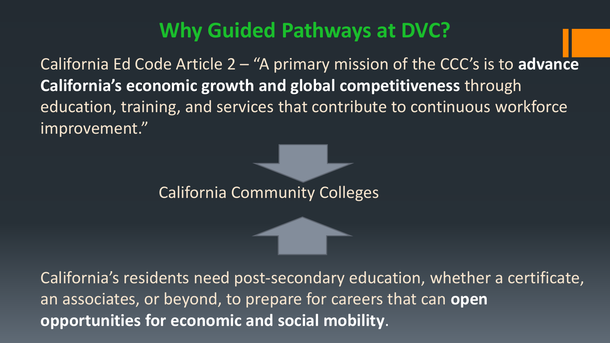#### **Why Guided Pathways at DVC?**

California Ed Code Article 2 – "A primary mission of the CCC's is to **advance California's economic growth and global competitiveness** through education, training, and services that contribute to continuous workforce improvement."

California Community Colleges

California's residents need post-secondary education, whether a certificate, an associates, or beyond, to prepare for careers that can **open opportunities for economic and social mobility**.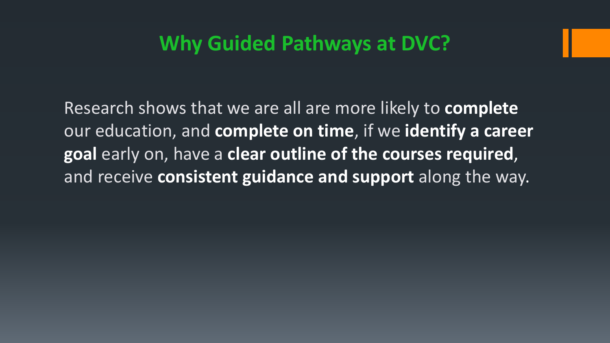#### **Why Guided Pathways at DVC?**

Research shows that we are all are more likely to **complete** our education, and **complete on time**, if we **identify a career goal** early on, have a **clear outline of the courses required**, and receive **consistent guidance and support** along the way.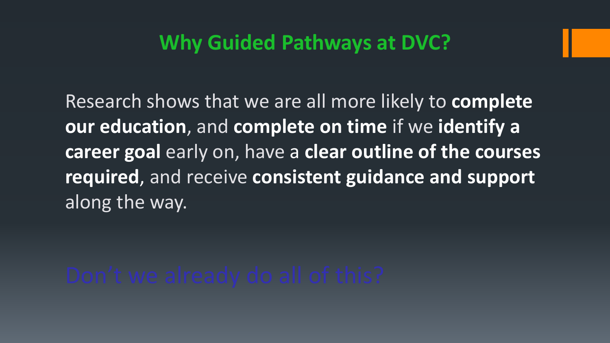#### **Why Guided Pathways at DVC?**

Research shows that we are all more likely to **complete our education**, and **complete on time** if we **identify a career goal** early on, have a **clear outline of the courses required**, and receive **consistent guidance and support** along the way.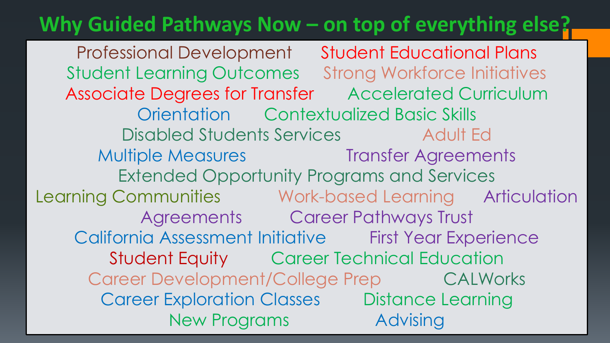#### **Why Guided Pathways Now – on top of everything else?**

Professional Development Student Educational Plans Student Learning Outcomes Strong Workforce Initiatives Associate Degrees for Transfer Accelerated Curriculum Orientation Contextualized Basic Skills Disabled Students Services Adult Ed Multiple Measures Transfer Agreements Extended Opportunity Programs and Services Learning Communities Work-based Learning Articulation Agreements Career Pathways Trust California Assessment Initiative First Year Experience Student Equity Career Technical Education Career Development/College Prep CALWorks Career Exploration Classes Distance Learning New Programs Advising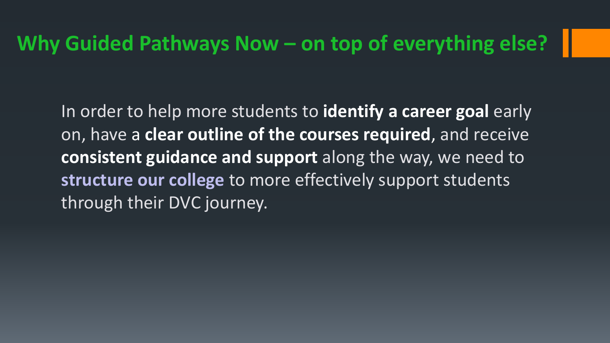#### **Why Guided Pathways Now – on top of everything else?**

In order to help more students to **identify a career goal** early on, have a **clear outline of the courses required**, and receive **consistent guidance and support** along the way, we need to **structure our college** to more effectively support students through their DVC journey.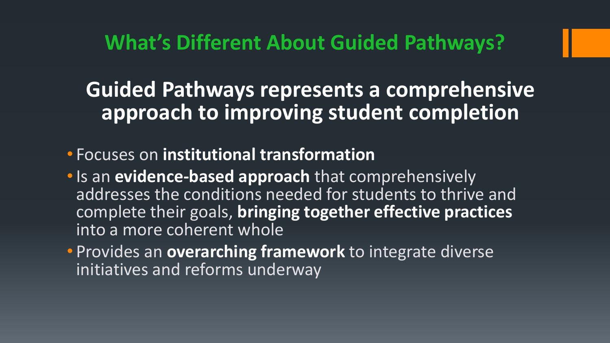**What's Different About Guided Pathways?** 

#### **Guided Pathways represents a comprehensive approach to improving student completion**

- Focuses on **institutional transformation**
- •Is an **evidence-based approach** that comprehensively addresses the conditions needed for students to thrive and complete their goals, **bringing together effective practices** into a more coherent whole
- Provides an **overarching framework** to integrate diverse initiatives and reforms underway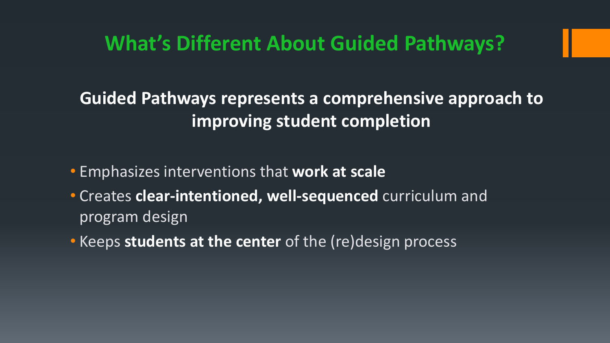#### **What's Different About Guided Pathways?**

#### **Guided Pathways represents a comprehensive approach to improving student completion**

- Emphasizes interventions that **work at scale**
- Creates **clear-intentioned, well-sequenced** curriculum and program design
- Keeps **students at the center** of the (re)design process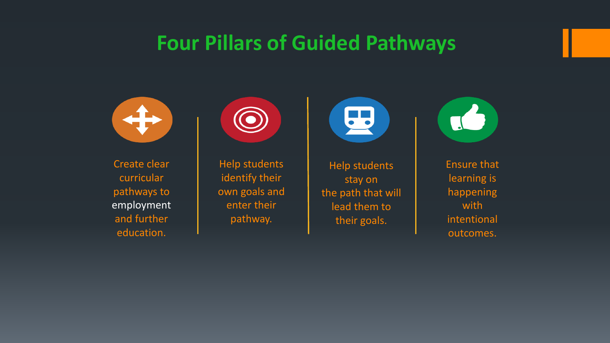#### **Four Pillars of Guided Pathways**



Create clear curricular pathways to employment and further education.



Help students identify their own goals and enter their pathway.



Help students stay on the path that will lead them to their goals.



Ensure that learning is happening with intentional outcomes.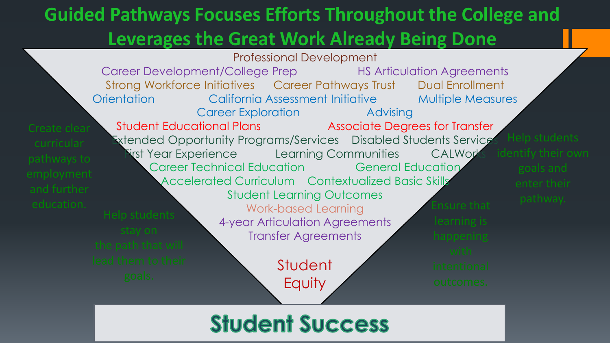#### **Guided Pathways Focuses Efforts Throughout the College and Leverages the Great Work Already Being Done**



#### **Student Success**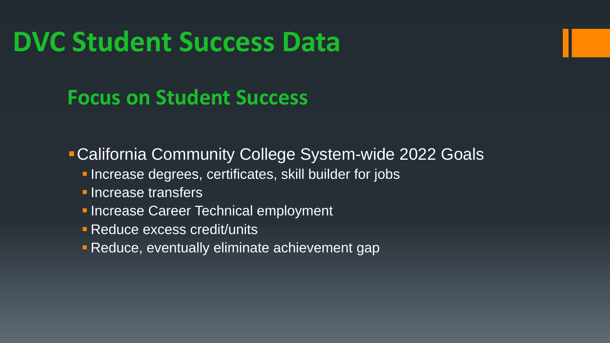# **DVC Student Success Data**

#### **Focus on Student Success**

California Community College System-wide 2022 Goals

- **Increase degrees, certificates, skill builder for jobs**
- **Increase transfers**
- **Increase Career Technical employment**
- **Reduce excess credit/units**
- **Reduce, eventually eliminate achievement gap**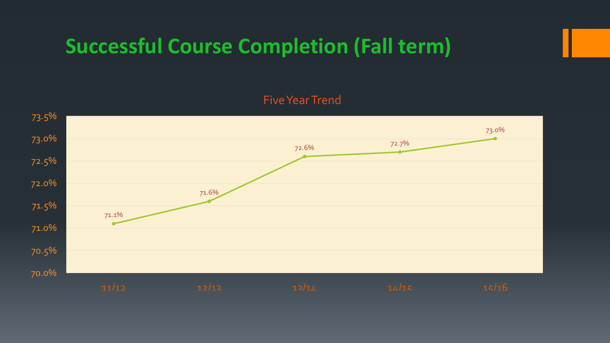#### **Successful Course Completion (Fall term)**

#### Five Year Trend

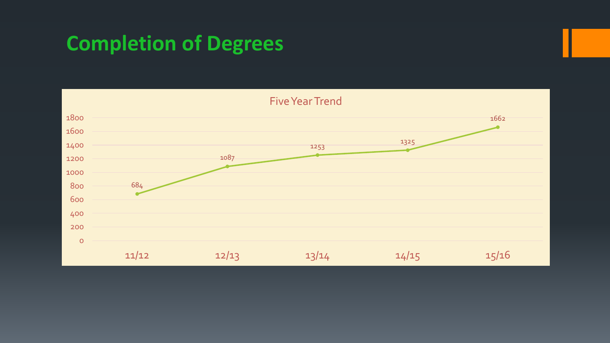#### **Completion of Degrees**

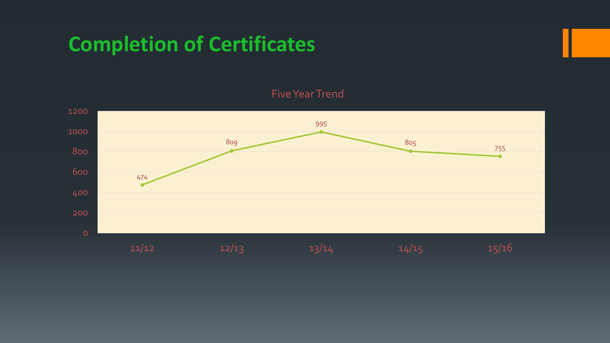#### **Completion of Certificates**

#### Five Year Trend

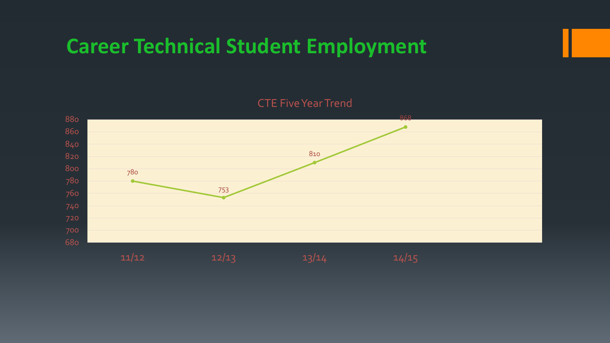#### **Career Technical Student Employment**

#### CTE Five Year Trend

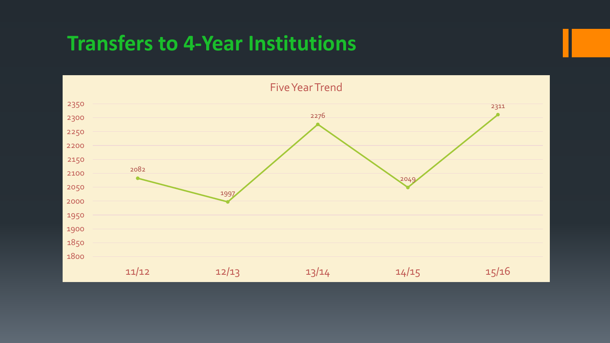#### **Transfers to 4-Year Institutions**

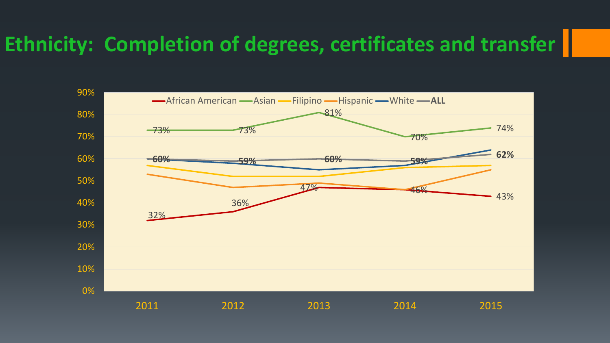#### **Ethnicity: Completion of degrees, certificates and transfer**

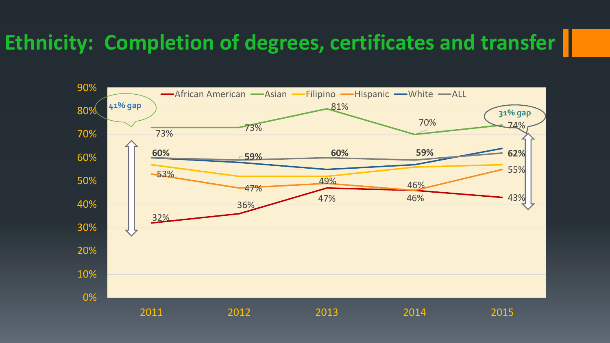#### **Ethnicity: Completion of degrees, certificates and transfer**

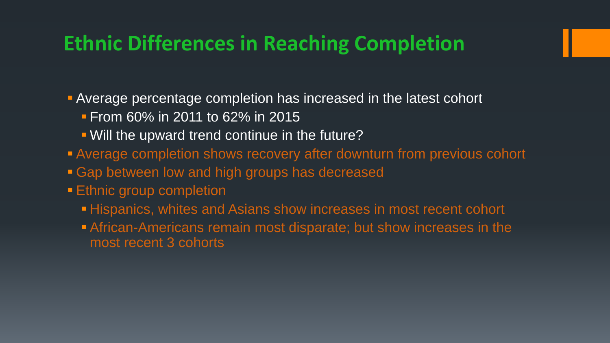#### **Ethnic Differences in Reaching Completion**

Average percentage completion has increased in the latest cohort

- **From 60% in 2011 to 62% in 2015**
- Will the upward trend continue in the future?
- Average completion shows recovery after downturn from previous cohort
- Gap between low and high groups has decreased
- **Ethnic group completion** 
	- **Hispanics, whites and Asians show increases in most recent cohort**
	- African-Americans remain most disparate; but show increases in the most recent 3 cohorts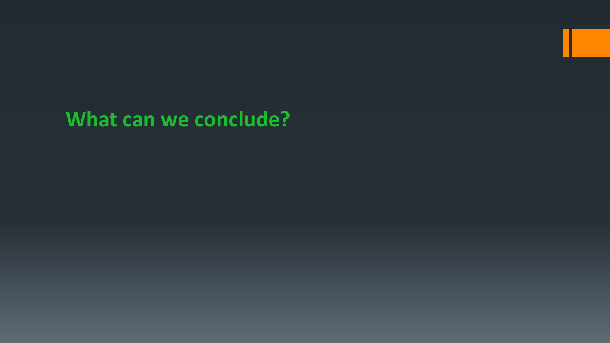#### **What can we conclude?**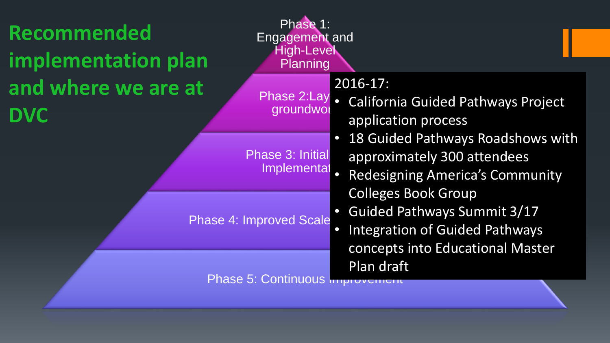| Recommended<br><b>implementation plan</b> | Phase 1:<br><b>Engagement and</b><br><b>High-Level</b><br>Planning |                                                                                                                                                                                                        |
|-------------------------------------------|--------------------------------------------------------------------|--------------------------------------------------------------------------------------------------------------------------------------------------------------------------------------------------------|
| and where we are at<br><b>DVC</b>         | groundwol                                                          | $2016 - 17$ :<br>Phase 2:Lay . California Guided Pathways Project<br>application process<br>18 Guided Pathways Roadshows with<br>approximately 300 attendees<br><b>Redesigning America's Community</b> |
|                                           | <b>Phase 3: Initial</b><br>Implementat                             |                                                                                                                                                                                                        |
|                                           | <b>Phase 4: Improved Scale</b>                                     | <b>Colleges Book Group</b><br><b>Guided Pathways Summit 3/17</b><br><b>Integration of Guided Pathways</b><br>$\bullet$<br>concepts into Educational Master                                             |
|                                           | Phase 5: Continuous mip                                            | Plan draft                                                                                                                                                                                             |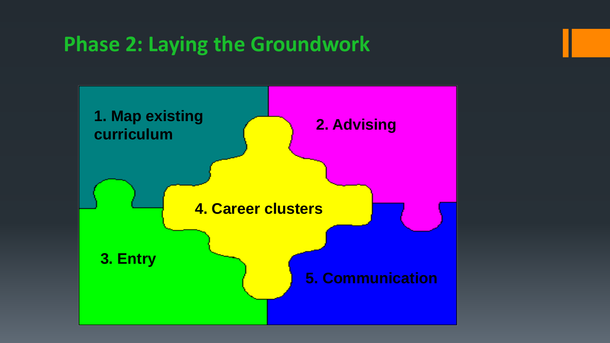#### **Phase 2: Laying the Groundwork**

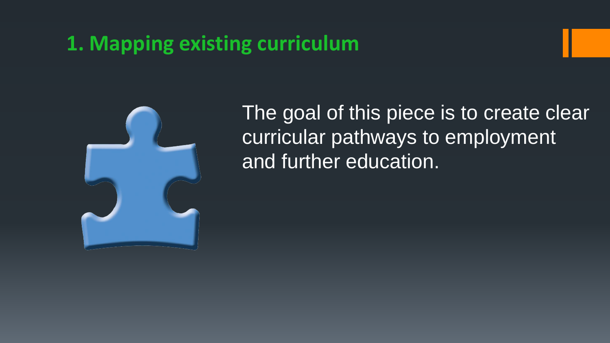#### **1. Mapping existing curriculum**



The goal of this piece is to create clear curricular pathways to employment and further education.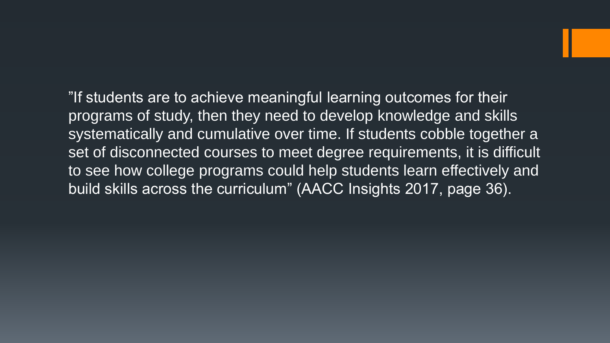"If students are to achieve meaningful learning outcomes for their programs of study, then they need to develop knowledge and skills systematically and cumulative over time. If students cobble together a set of disconnected courses to meet degree requirements, it is difficult to see how college programs could help students learn effectively and build skills across the curriculum" (AACC Insights 2017, page 36).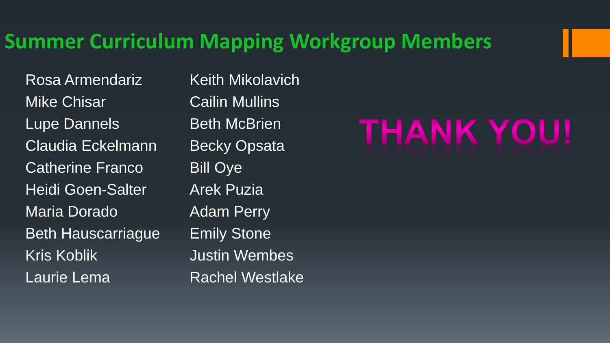#### **Summer Curriculum Mapping Workgroup Members**

Rosa Armendariz Mike Chisar Lupe Dannels Claudia Eckelmann Catherine Franco Heidi Goen-Salter Maria Dorado Beth Hauscarriague Kris Koblik Laurie Lema

Keith Mikolavich Cailin Mullins Beth McBrien Becky Opsata Bill Oye Arek Puzia Adam Perry Emily Stone Justin Wembes Rachel Westlake

# THANK YOU!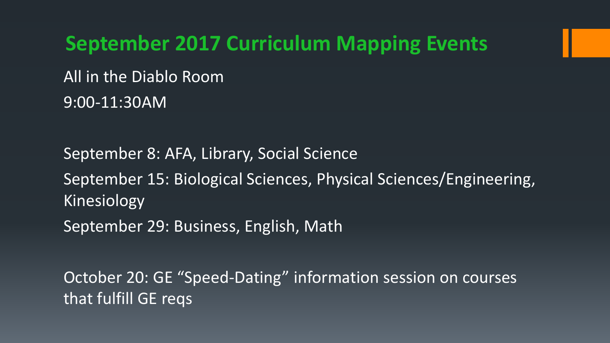**September 2017 Curriculum Mapping Events** All in the Diablo Room 9:00-11:30AM

September 8: AFA, Library, Social Science September 15: Biological Sciences, Physical Sciences/Engineering, Kinesiology September 29: Business, English, Math

October 20: GE "Speed-Dating" information session on courses that fulfill GE reqs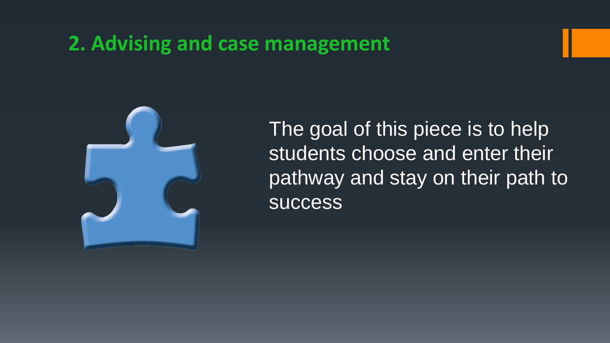#### **2. Advising and case management**



The goal of this piece is to help students choose and enter their pathway and stay on their path to **success**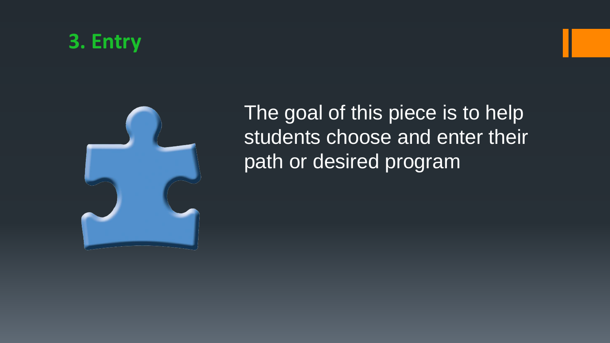#### **3. Entry**



The goal of this piece is to help students choose and enter their path or desired program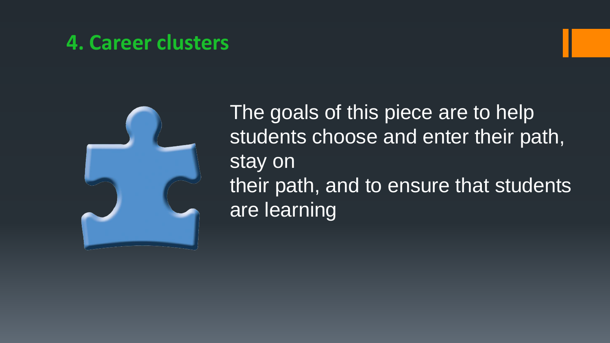#### **4. Career clusters**



The goals of this piece are to help students choose and enter their path, stay on their path, and to ensure that students are learning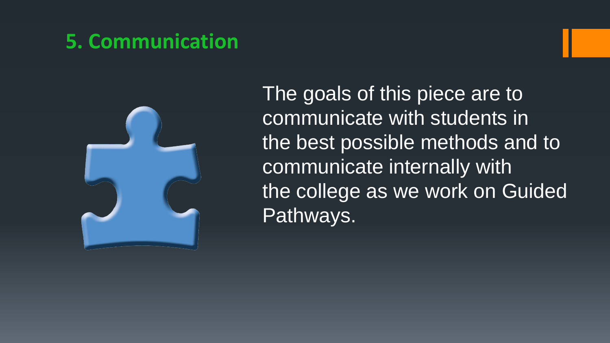#### **5. Communication**



The goals of this piece are to communicate with students in the best possible methods and to communicate internally with the college as we work on Guided Pathways.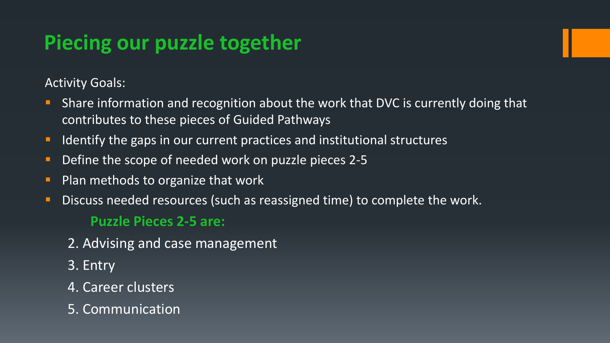#### **Piecing our puzzle together**

Activity Goals:

- **Share information and recognition about the work that DVC is currently doing that** contributes to these pieces of Guided Pathways
- I Identify the gaps in our current practices and institutional structures
- **Define the scope of needed work on puzzle pieces 2-5**
- $\blacksquare$  Plan methods to organize that work
- **Discuss needed resources** (such as reassigned time) to complete the work.

#### **Puzzle Pieces 2-5 are:**

- 2. Advising and case management
- 3. Entry
- 4. Career clusters
- 5. Communication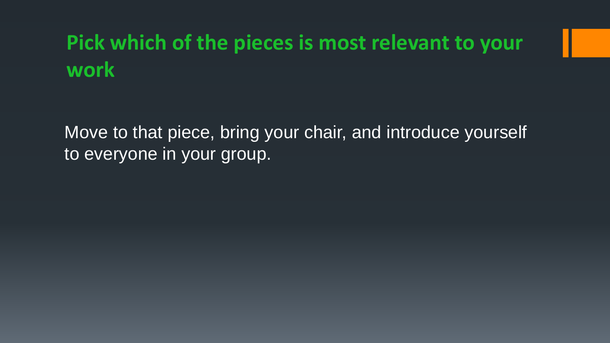### **Pick which of the pieces is most relevant to your work**

Move to that piece, bring your chair, and introduce yourself to everyone in your group.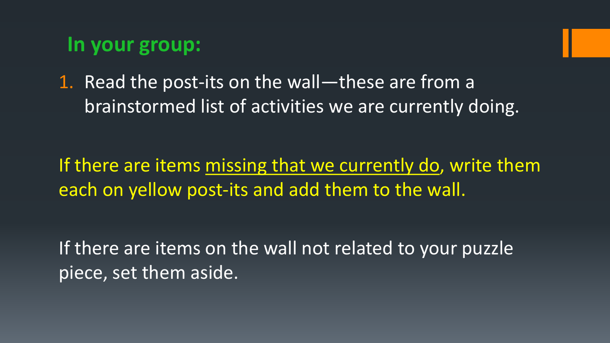#### **In your group:**

1. Read the post-its on the wall—these are from a brainstormed list of activities we are currently doing.

If there are items missing that we currently do, write them each on yellow post-its and add them to the wall.

If there are items on the wall not related to your puzzle piece, set them aside.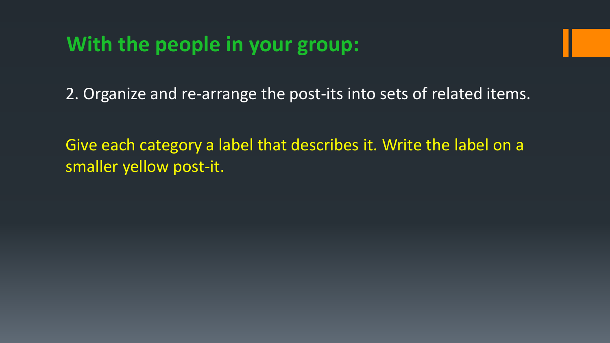#### **With the people in your group:**

2. Organize and re-arrange the post-its into sets of related items.

Give each category a label that describes it. Write the label on a smaller yellow post-it.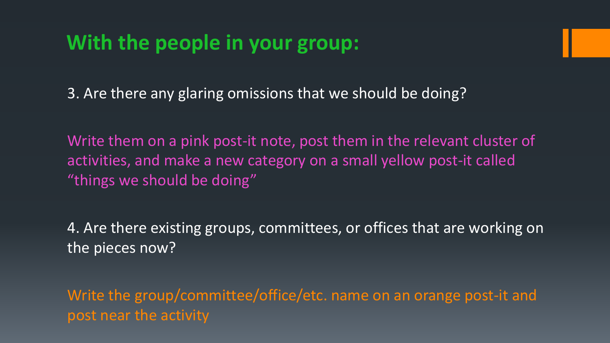#### **With the people in your group:**

3. Are there any glaring omissions that we should be doing?

Write them on a pink post-it note, post them in the relevant cluster of activities, and make a new category on a small yellow post-it called "things we should be doing"

4. Are there existing groups, committees, or offices that are working on the pieces now?

Write the group/committee/office/etc. name on an orange post-it and post near the activity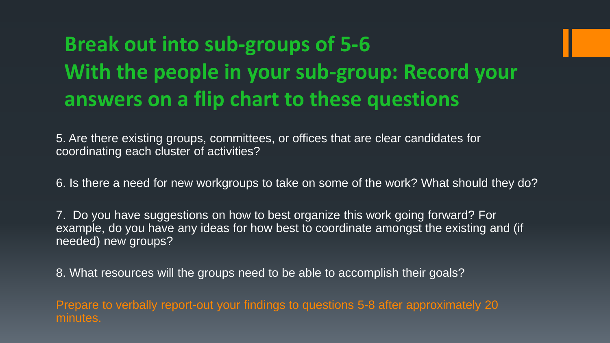## **Break out into sub-groups of 5-6 With the people in your sub-group: Record your answers on a flip chart to these questions**

5. Are there existing groups, committees, or offices that are clear candidates for coordinating each cluster of activities?

6. Is there a need for new workgroups to take on some of the work? What should they do?

7. Do you have suggestions on how to best organize this work going forward? For example, do you have any ideas for how best to coordinate amongst the existing and (if needed) new groups?

8. What resources will the groups need to be able to accomplish their goals?

Prepare to verbally report-out your findings to questions 5-8 after approximately 20 minutes.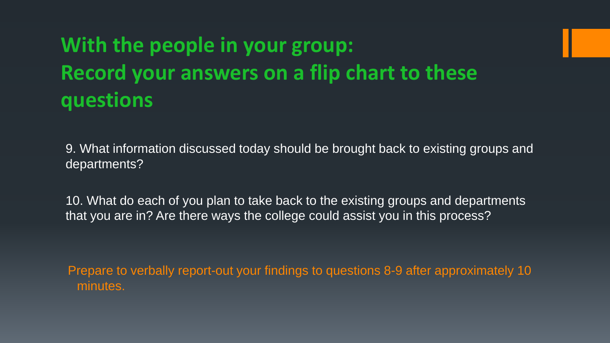# **With the people in your group: Record your answers on a flip chart to these questions**

9. What information discussed today should be brought back to existing groups and departments?

10. What do each of you plan to take back to the existing groups and departments that you are in? Are there ways the college could assist you in this process?

Prepare to verbally report-out your findings to questions 8-9 after approximately 10 minutes.